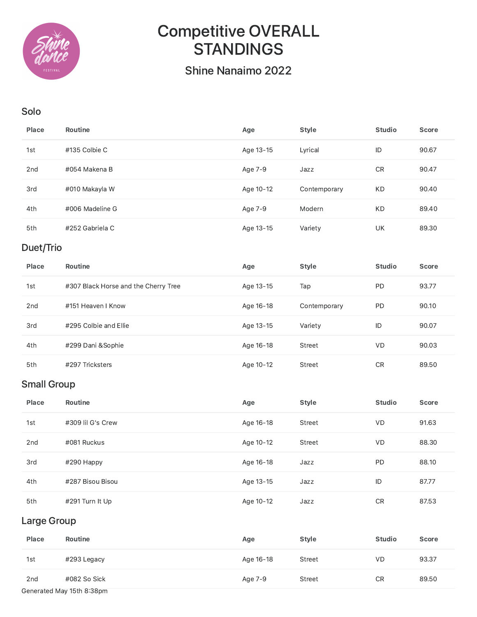

## Competitive OVERALL STANDINGS

Shine Nanaimo 2022

## Solo

| Place        | Routine                              | Age       | <b>Style</b> | <b>Studio</b> | <b>Score</b> |  |
|--------------|--------------------------------------|-----------|--------------|---------------|--------------|--|
| 1st          | #135 Colbie C                        | Age 13-15 | Lyrical      | ID            | 90.67        |  |
| 2nd          | #054 Makena B                        | Age 7-9   | Jazz         | CR            | 90.47        |  |
| 3rd          | #010 Makayla W                       | Age 10-12 | Contemporary | KD            | 90.40        |  |
| 4th          | #006 Madeline G                      | Age 7-9   | Modern       | KD            | 89.40        |  |
| 5th          | #252 Gabriela C                      | Age 13-15 | Variety      | UK            | 89.30        |  |
| Duet/Trio    |                                      |           |              |               |              |  |
|              |                                      |           |              |               |              |  |
| <b>Place</b> | <b>Routine</b>                       | Age       | <b>Style</b> | <b>Studio</b> | <b>Score</b> |  |
| 1st          | #307 Black Horse and the Cherry Tree | Age 13-15 | Tap          | PD            | 93.77        |  |
| 2nd          | #151 Heaven I Know                   | Age 16-18 | Contemporary | PD            | 90.10        |  |
| 3rd          | #295 Colbie and Ellie                | Age 13-15 | Variety      | ID            | 90.07        |  |
| 4th          | #299 Dani &Sophie                    | Age 16-18 | Street       | VD            | 90.03        |  |

## Small Group

| Place | <b>Routine</b>    | Age       | <b>Style</b> | <b>Studio</b> | <b>Score</b> |
|-------|-------------------|-----------|--------------|---------------|--------------|
| 1st   | #309 lil G's Crew | Age 16-18 | Street       | <b>VD</b>     | 91.63        |
| 2nd   | #081 Ruckus       | Age 10-12 | Street       | VD.           | 88.30        |
| 3rd   | #290 Happy        | Age 16-18 | Jazz         | <b>PD</b>     | 88.10        |
| 4th   | #287 Bisou Bisou  | Age 13-15 | Jazz         | ID            | 87.77        |
| 5th   | #291 Turn It Up   | Age 10-12 | Jazz         | <b>CR</b>     | 87.53        |

## Large Group

| Place                     | <b>Routine</b> | Age       | <b>Style</b> | <b>Studio</b> | <b>Score</b> |
|---------------------------|----------------|-----------|--------------|---------------|--------------|
| 1st                       | #293 Legacy    | Age 16-18 | Street       | <b>VD</b>     | 93.37        |
| 2 <sub>nd</sub>           | #082 So Sick   | Age 7-9   | Street       | <b>CR</b>     | 89.50        |
| Generated May 15th 8:38pm |                |           |              |               |              |